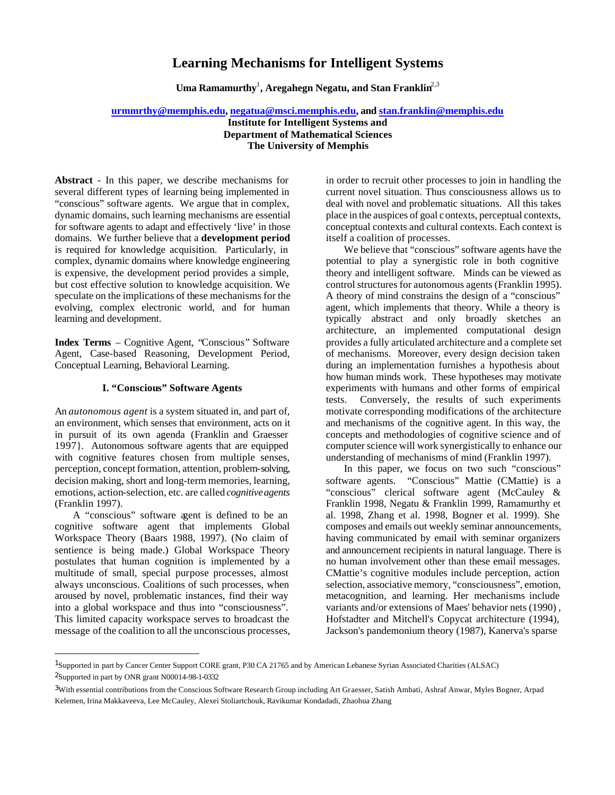# **Learning Mechanisms for Intelligent Systems**

**Uma Ramamurthy**<sup>1</sup> **, Aregahegn Negatu, and Stan Franklin**2,3

## **urmmrthy@memphis.edu, negatua@msci.memphis.edu, and stan.franklin@memphis.edu**

**Institute for Intelligent Systems and Department of Mathematical Sciences The University of Memphis**

**Abstract** - In this paper, we describe mechanisms for several different types of learning being implemented in "conscious" software agents. We argue that in complex, dynamic domains, such learning mechanisms are essential for software agents to adapt and effectively 'live' in those domains. We further believe that a **development period** is required for knowledge acquisition. Particularly, in complex, dynamic domains where knowledge engineering is expensive, the development period provides a simple, but cost effective solution to knowledge acquisition. We speculate on the implications of these mechanisms for the evolving, complex electronic world, and for human learning and development.

**Index Terms** – Cognitive Agent, "Conscious" Software Agent, Case-based Reasoning, Development Period, Conceptual Learning, Behavioral Learning.

## **I. "Conscious" Software Agents**

An *autonomous agent* is a system situated in, and part of, an environment, which senses that environment, acts on it in pursuit of its own agenda (Franklin and Graesser 1997}. Autonomous software agents that are equipped with cognitive features chosen from multiple senses, perception, concept formation, attention, problem-solving, decision making, short and long-term memories, learning, emotions, action-selection, etc. are called *cognitive agents* (Franklin 1997).

A "conscious" software agent is defined to be an cognitive software agent that implements Global Workspace Theory (Baars 1988, 1997). (No claim of sentience is being made.) Global Workspace Theory postulates that human cognition is implemented by a multitude of small, special purpose processes, almost always unconscious. Coalitions of such processes, when aroused by novel, problematic instances, find their way into a global workspace and thus into "consciousness". This limited capacity workspace serves to broadcast the message of the coalition to all the unconscious processes,

l

in order to recruit other processes to join in handling the current novel situation. Thus consciousness allows us to deal with novel and problematic situations. All this takes place in the auspices of goal contexts, perceptual contexts, conceptual contexts and cultural contexts. Each context is itself a coalition of processes.

We believe that "conscious" software agents have the potential to play a synergistic role in both cognitive theory and intelligent software. Minds can be viewed as control structures for autonomous agents (Franklin 1995). A theory of mind constrains the design of a "conscious" agent, which implements that theory. While a theory is typically abstract and only broadly sketches an architecture, an implemented computational design provides a fully articulated architecture and a complete set of mechanisms. Moreover, every design decision taken during an implementation furnishes a hypothesis about how human minds work. These hypotheses may motivate experiments with humans and other forms of empirical tests. Conversely, the results of such experiments motivate corresponding modifications of the architecture and mechanisms of the cognitive agent. In this way, the concepts and methodologies of cognitive science and of computer science will work synergistically to enhance our understanding of mechanisms of mind (Franklin 1997).

In this paper, we focus on two such "conscious" software agents. "Conscious" Mattie (CMattie) is a "conscious" clerical software agent (McCauley & Franklin 1998, Negatu & Franklin 1999, Ramamurthy et al. 1998, Zhang et al. 1998, Bogner et al. 1999). She composes and emails out weekly seminar announcements, having communicated by email with seminar organizers and announcement recipients in natural language. There is no human involvement other than these email messages. CMattie's cognitive modules include perception, action selection, associative memory, "consciousness", emotion, metacognition, and learning. Her mechanisms include variants and/or extensions of Maes' behavior nets (1990) , Hofstadter and Mitchell's Copycat architecture (1994), Jackson's pandemonium theory (1987), Kanerva's sparse

<sup>1</sup>Supported in part by Cancer Center Support CORE grant, P30 CA 21765 and by American Lebanese Syrian Associated Charities (ALSAC) 2Supported in part by ONR grant N00014-98-1-0332

<sup>&</sup>lt;sup>3</sup>With essential contributions from the Conscious Software Research Group including Art Graesser, Satish Ambati, Ashraf Anwar, Myles Bogner, Arpad Kelemen, Irina Makkaveeva, Lee McCauley, Alexei Stoliartchouk, Ravikumar Kondadadi, Zhaohua Zhang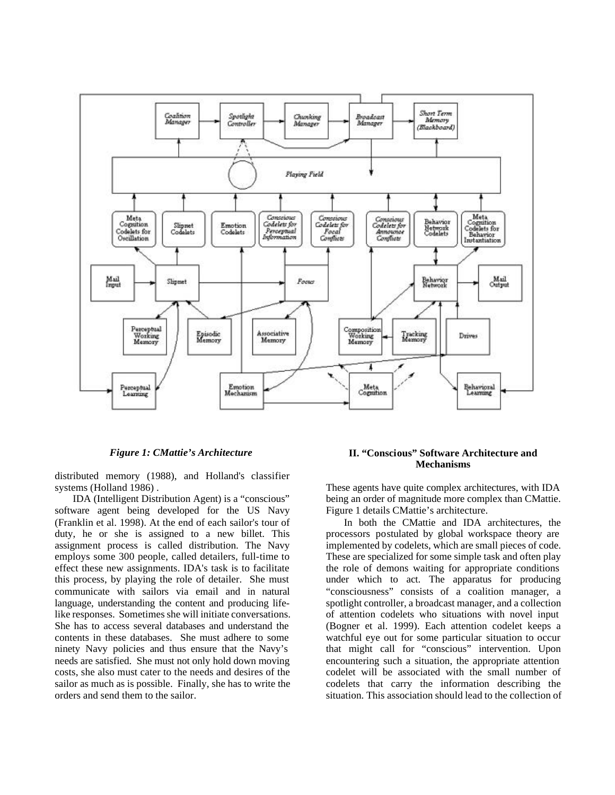

*Figure 1: CMattie's Architecture*

distributed memory (1988), and Holland's classifier systems (Holland 1986) .

IDA (Intelligent Distribution Agent) is a "conscious" software agent being developed for the US Navy (Franklin et al. 1998). At the end of each sailor's tour of duty, he or she is assigned to a new billet. This assignment process is called distribution. The Navy employs some 300 people, called detailers, full-time to effect these new assignments. IDA's task is to facilitate this process, by playing the role of detailer. She must communicate with sailors via email and in natural language, understanding the content and producing lifelike responses. Sometimes she will initiate conversations. She has to access several databases and understand the contents in these databases. She must adhere to some ninety Navy policies and thus ensure that the Navy's needs are satisfied. She must not only hold down moving costs, she also must cater to the needs and desires of the sailor as much as is possible. Finally, she has to write the orders and send them to the sailor.

## **II. "Conscious" Software Architecture and Mechanisms**

These agents have quite complex architectures, with IDA being an order of magnitude more complex than CMattie. Figure 1 details CMattie's architecture.

In both the CMattie and IDA architectures, the processors postulated by global workspace theory are implemented by codelets, which are small pieces of code. These are specialized for some simple task and often play the role of demons waiting for appropriate conditions under which to act. The apparatus for producing "consciousness" consists of a coalition manager, a spotlight controller, a broadcast manager, and a collection of attention codelets who situations with novel input (Bogner et al. 1999). Each attention codelet keeps a watchful eye out for some particular situation to occur that might call for "conscious" intervention. Upon encountering such a situation, the appropriate attention codelet will be associated with the small number of codelets that carry the information describing the situation. This association should lead to the collection of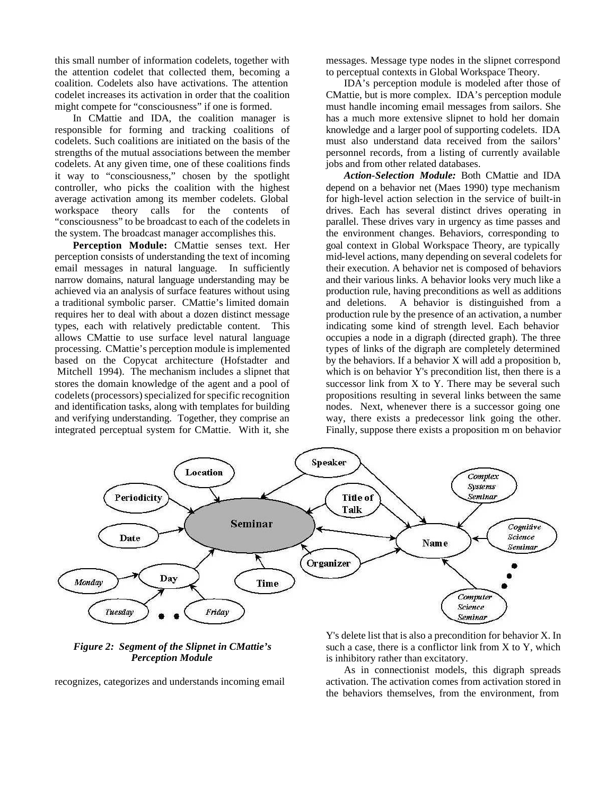this small number of information codelets, together with the attention codelet that collected them, becoming a coalition. Codelets also have activations. The attention codelet increases its activation in order that the coalition might compete for "consciousness" if one is formed.

In CMattie and IDA, the coalition manager is responsible for forming and tracking coalitions of codelets. Such coalitions are initiated on the basis of the strengths of the mutual associations between the member codelets. At any given time, one of these coalitions finds it way to "consciousness," chosen by the spotlight controller, who picks the coalition with the highest average activation among its member codelets. Global workspace theory calls for the contents of "consciousness" to be broadcast to each of the codelets in the system. The broadcast manager accomplishes this.

**Perception Module:** CMattie senses text. Her perception consists of understanding the text of incoming email messages in natural language. In sufficiently narrow domains, natural language understanding may be achieved via an analysis of surface features without using a traditional symbolic parser. CMattie's limited domain requires her to deal with about a dozen distinct message types, each with relatively predictable content. This allows CMattie to use surface level natural language processing. CMattie's perception module is implemented based on the Copycat architecture (Hofstadter and Mitchell 1994). The mechanism includes a slipnet that stores the domain knowledge of the agent and a pool of codelets (processors) specialized for specific recognition and identification tasks, along with templates for building and verifying understanding. Together, they comprise an integrated perceptual system for CMattie. With it, she messages. Message type nodes in the slipnet correspond to perceptual contexts in Global Workspace Theory.

IDA's perception module is modeled after those of CMattie, but is more complex. IDA's perception module must handle incoming email messages from sailors. She has a much more extensive slipnet to hold her domain knowledge and a larger pool of supporting codelets. IDA must also understand data received from the sailors' personnel records, from a listing of currently available jobs and from other related databases.

*Action-Selection Module:* Both CMattie and IDA depend on a behavior net (Maes 1990) type mechanism for high-level action selection in the service of built-in drives. Each has several distinct drives operating in parallel. These drives vary in urgency as time passes and the environment changes. Behaviors, corresponding to goal context in Global Workspace Theory, are typically mid-level actions, many depending on several codelets for their execution. A behavior net is composed of behaviors and their various links. A behavior looks very much like a production rule, having preconditions as well as additions and deletions. A behavior is distinguished from a production rule by the presence of an activation, a number indicating some kind of strength level. Each behavior occupies a node in a digraph (directed graph). The three types of links of the digraph are completely determined by the behaviors. If a behavior X will add a proposition b, which is on behavior Y's precondition list, then there is a successor link from X to Y. There may be several such propositions resulting in several links between the same nodes. Next, whenever there is a successor going one way, there exists a predecessor link going the other. Finally, suppose there exists a proposition m on behavior



### *Figure 2: Segment of the Slipnet in CMattie's Perception Module*

recognizes, categorizes and understands incoming email

Y's delete list that is also a precondition for behavior X. In such a case, there is a conflictor link from X to Y, which is inhibitory rather than excitatory.

As in connectionist models, this digraph spreads activation. The activation comes from activation stored in the behaviors themselves, from the environment, from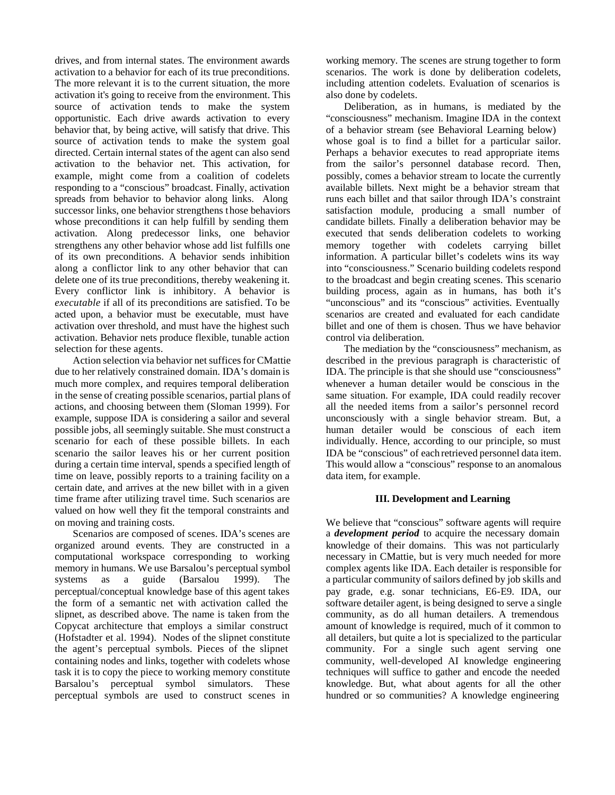drives, and from internal states. The environment awards activation to a behavior for each of its true preconditions. The more relevant it is to the current situation, the more activation it's going to receive from the environment. This source of activation tends to make the system opportunistic. Each drive awards activation to every behavior that, by being active, will satisfy that drive. This source of activation tends to make the system goal directed. Certain internal states of the agent can also send activation to the behavior net. This activation, for example, might come from a coalition of codelets responding to a "conscious" broadcast. Finally, activation spreads from behavior to behavior along links. Along successor links, one behavior strengthens those behaviors whose preconditions it can help fulfill by sending them activation. Along predecessor links, one behavior strengthens any other behavior whose add list fulfills one of its own preconditions. A behavior sends inhibition along a conflictor link to any other behavior that can delete one of its true preconditions, thereby weakening it. Every conflictor link is inhibitory. A behavior is *executable* if all of its preconditions are satisfied. To be acted upon, a behavior must be executable, must have activation over threshold, and must have the highest such activation. Behavior nets produce flexible, tunable action selection for these agents.

Action selection via behavior net suffices for CMattie due to her relatively constrained domain. IDA's domain is much more complex, and requires temporal deliberation in the sense of creating possible scenarios, partial plans of actions, and choosing between them (Sloman 1999). For example, suppose IDA is considering a sailor and several possible jobs, all seemingly suitable. She must construct a scenario for each of these possible billets. In each scenario the sailor leaves his or her current position during a certain time interval, spends a specified length of time on leave, possibly reports to a training facility on a certain date, and arrives at the new billet with in a given time frame after utilizing travel time. Such scenarios are valued on how well they fit the temporal constraints and on moving and training costs.

Scenarios are composed of scenes. IDA's scenes are organized around events. They are constructed in a computational workspace corresponding to working memory in humans. We use Barsalou's perceptual symbol systems as a guide (Barsalou 1999). The perceptual/conceptual knowledge base of this agent takes the form of a semantic net with activation called the slipnet, as described above. The name is taken from the Copycat architecture that employs a similar construct (Hofstadter et al. 1994). Nodes of the slipnet constitute the agent's perceptual symbols. Pieces of the slipnet containing nodes and links, together with codelets whose task it is to copy the piece to working memory constitute Barsalou's perceptual symbol simulators. These perceptual symbols are used to construct scenes in

working memory. The scenes are strung together to form scenarios. The work is done by deliberation codelets, including attention codelets. Evaluation of scenarios is also done by codelets.

Deliberation, as in humans, is mediated by the "consciousness" mechanism. Imagine IDA in the context of a behavior stream (see Behavioral Learning below) whose goal is to find a billet for a particular sailor. Perhaps a behavior executes to read appropriate items from the sailor's personnel database record. Then, possibly, comes a behavior stream to locate the currently available billets. Next might be a behavior stream that runs each billet and that sailor through IDA's constraint satisfaction module, producing a small number of candidate billets. Finally a deliberation behavior may be executed that sends deliberation codelets to working memory together with codelets carrying billet information. A particular billet's codelets wins its way into "consciousness." Scenario building codelets respond to the broadcast and begin creating scenes. This scenario building process, again as in humans, has both it's "unconscious" and its "conscious" activities. Eventually scenarios are created and evaluated for each candidate billet and one of them is chosen. Thus we have behavior control via deliberation.

The mediation by the "consciousness" mechanism, as described in the previous paragraph is characteristic of IDA. The principle is that she should use "consciousness" whenever a human detailer would be conscious in the same situation. For example, IDA could readily recover all the needed items from a sailor's personnel record unconsciously with a single behavior stream. But, a human detailer would be conscious of each item individually. Hence, according to our principle, so must IDA be "conscious" of each retrieved personnel data item. This would allow a "conscious" response to an anomalous data item, for example.

#### **III. Development and Learning**

We believe that "conscious" software agents will require a *development period* to acquire the necessary domain knowledge of their domains. This was not particularly necessary in CMattie, but is very much needed for more complex agents like IDA. Each detailer is responsible for a particular community of sailors defined by job skills and pay grade, e.g. sonar technicians, E6-E9. IDA, our software detailer agent, is being designed to serve a single community, as do all human detailers. A tremendous amount of knowledge is required, much of it common to all detailers, but quite a lot is specialized to the particular community. For a single such agent serving one community, well-developed AI knowledge engineering techniques will suffice to gather and encode the needed knowledge. But, what about agents for all the other hundred or so communities? A knowledge engineering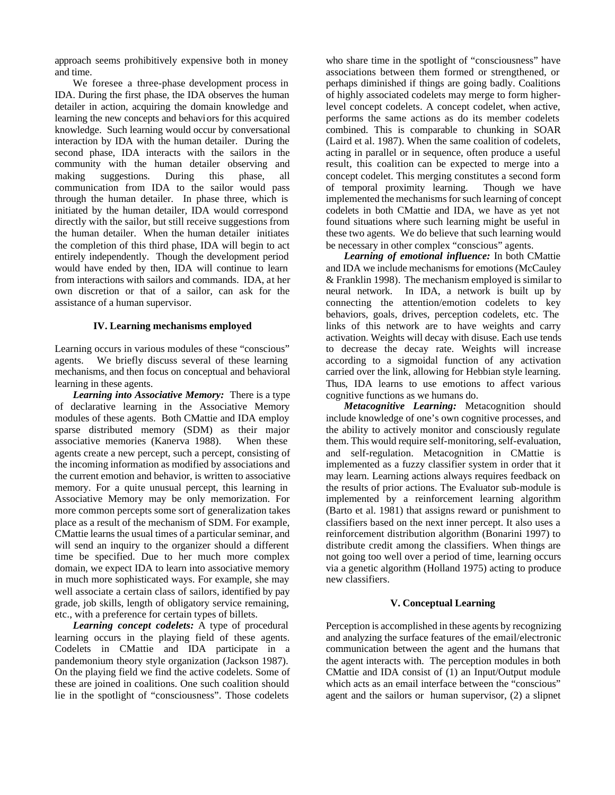approach seems prohibitively expensive both in money and time.

We foresee a three-phase development process in IDA. During the first phase, the IDA observes the human detailer in action, acquiring the domain knowledge and learning the new concepts and behaviors for this acquired knowledge. Such learning would occur by conversational interaction by IDA with the human detailer. During the second phase, IDA interacts with the sailors in the community with the human detailer observing and making suggestions. During this phase, all communication from IDA to the sailor would pass through the human detailer. In phase three, which is initiated by the human detailer, IDA would correspond directly with the sailor, but still receive suggestions from the human detailer. When the human detailer initiates the completion of this third phase, IDA will begin to act entirely independently. Though the development period would have ended by then, IDA will continue to learn from interactions with sailors and commands. IDA, at her own discretion or that of a sailor, can ask for the assistance of a human supervisor.

#### **IV. Learning mechanisms employed**

Learning occurs in various modules of these "conscious" agents. We briefly discuss several of these learning mechanisms, and then focus on conceptual and behavioral learning in these agents.

*Learning into Associative Memory:* There is a type of declarative learning in the Associative Memory modules of these agents. Both CMattie and IDA employ sparse distributed memory (SDM) as their major associative memories (Kanerva 1988). When these agents create a new percept, such a percept, consisting of the incoming information as modified by associations and the current emotion and behavior, is written to associative memory. For a quite unusual percept, this learning in Associative Memory may be only memorization. For more common percepts some sort of generalization takes place as a result of the mechanism of SDM. For example, CMattie learns the usual times of a particular seminar, and will send an inquiry to the organizer should a different time be specified. Due to her much more complex domain, we expect IDA to learn into associative memory in much more sophisticated ways. For example, she may well associate a certain class of sailors, identified by pay grade, job skills, length of obligatory service remaining, etc., with a preference for certain types of billets.

*Learning concept codelets:* A type of procedural learning occurs in the playing field of these agents. Codelets in CMattie and IDA participate in a pandemonium theory style organization (Jackson 1987). On the playing field we find the active codelets. Some of these are joined in coalitions. One such coalition should lie in the spotlight of "consciousness". Those codelets

who share time in the spotlight of "consciousness" have associations between them formed or strengthened, or perhaps diminished if things are going badly. Coalitions of highly associated codelets may merge to form higherlevel concept codelets. A concept codelet, when active, performs the same actions as do its member codelets combined. This is comparable to chunking in SOAR (Laird et al. 1987). When the same coalition of codelets, acting in parallel or in sequence, often produce a useful result, this coalition can be expected to merge into a concept codelet. This merging constitutes a second form of temporal proximity learning. Though we have implemented the mechanisms for such learning of concept codelets in both CMattie and IDA, we have as yet not found situations where such learning might be useful in these two agents. We do believe that such learning would be necessary in other complex "conscious" agents.

*Learning of emotional influence:* In both CMattie and IDA we include mechanisms for emotions (McCauley & Franklin 1998). The mechanism employed is similar to neural network. In IDA, a network is built up by connecting the attention/emotion codelets to key behaviors, goals, drives, perception codelets, etc. The links of this network are to have weights and carry activation. Weights will decay with disuse. Each use tends to decrease the decay rate. Weights will increase according to a sigmoidal function of any activation carried over the link, allowing for Hebbian style learning. Thus, IDA learns to use emotions to affect various cognitive functions as we humans do.

*Metacognitive Learning:* Metacognition should include knowledge of one's own cognitive processes, and the ability to actively monitor and consciously regulate them. This would require self-monitoring, self-evaluation, and self-regulation. Metacognition in CMattie is implemented as a fuzzy classifier system in order that it may learn. Learning actions always requires feedback on the results of prior actions. The Evaluator sub-module is implemented by a reinforcement learning algorithm (Barto et al. 1981) that assigns reward or punishment to classifiers based on the next inner percept. It also uses a reinforcement distribution algorithm (Bonarini 1997) to distribute credit among the classifiers. When things are not going too well over a period of time, learning occurs via a genetic algorithm (Holland 1975) acting to produce new classifiers.

#### **V. Conceptual Learning**

Perception is accomplished in these agents by recognizing and analyzing the surface features of the email/electronic communication between the agent and the humans that the agent interacts with. The perception modules in both CMattie and IDA consist of (1) an Input/Output module which acts as an email interface between the "conscious" agent and the sailors or human supervisor, (2) a slipnet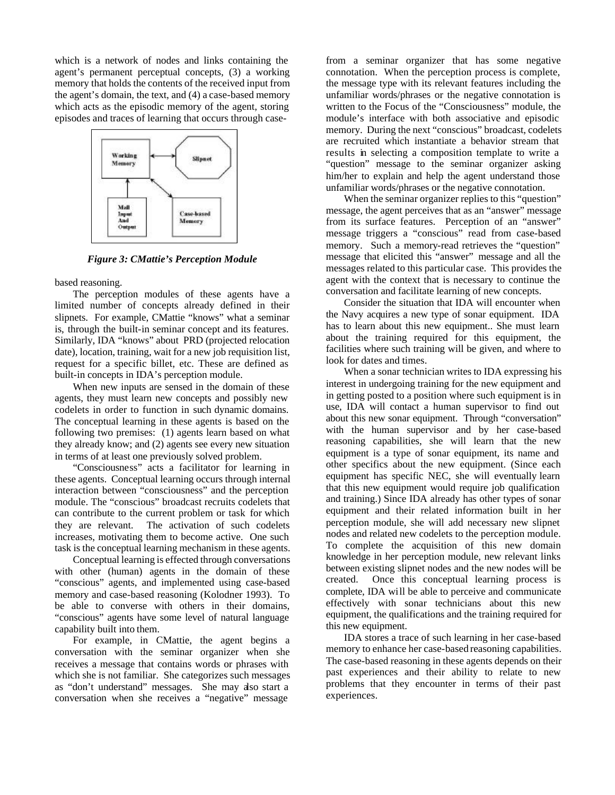which is a network of nodes and links containing the agent's permanent perceptual concepts, (3) a working memory that holds the contents of the received input from the agent's domain, the text, and (4) a case-based memory which acts as the episodic memory of the agent, storing episodes and traces of learning that occurs through case-



*Figure 3: CMattie's Perception Module*

based reasoning.

The perception modules of these agents have a limited number of concepts already defined in their slipnets. For example, CMattie "knows" what a seminar is, through the built-in seminar concept and its features. Similarly, IDA "knows" about PRD (projected relocation date), location, training, wait for a new job requisition list, request for a specific billet, etc. These are defined as built-in concepts in IDA's perception module.

When new inputs are sensed in the domain of these agents, they must learn new concepts and possibly new codelets in order to function in such dynamic domains. The conceptual learning in these agents is based on the following two premises: (1) agents learn based on what they already know; and (2) agents see every new situation in terms of at least one previously solved problem.

"Consciousness" acts a facilitator for learning in these agents. Conceptual learning occurs through internal interaction between "consciousness" and the perception module. The "conscious" broadcast recruits codelets that can contribute to the current problem or task for which they are relevant. The activation of such codelets increases, motivating them to become active. One such task is the conceptual learning mechanism in these agents.

Conceptual learning is effected through conversations with other (human) agents in the domain of these "conscious" agents, and implemented using case-based memory and case-based reasoning (Kolodner 1993). To be able to converse with others in their domains, "conscious" agents have some level of natural language capability built into them.

For example, in CMattie, the agent begins a conversation with the seminar organizer when she receives a message that contains words or phrases with which she is not familiar. She categorizes such messages as "don't understand" messages. She may also start a conversation when she receives a "negative" message

from a seminar organizer that has some negative connotation. When the perception process is complete, the message type with its relevant features including the unfamiliar words/phrases or the negative connotation is written to the Focus of the "Consciousness" module, the module's interface with both associative and episodic memory. During the next "conscious" broadcast, codelets are recruited which instantiate a behavior stream that results in selecting a composition template to write a "question" message to the seminar organizer asking him/her to explain and help the agent understand those unfamiliar words/phrases or the negative connotation.

When the seminar organizer replies to this "question" message, the agent perceives that as an "answer" message from its surface features. Perception of an "answer" message triggers a "conscious" read from case-based memory. Such a memory-read retrieves the "question" message that elicited this "answer" message and all the messages related to this particular case. This provides the agent with the context that is necessary to continue the conversation and facilitate learning of new concepts.

Consider the situation that IDA will encounter when the Navy acquires a new type of sonar equipment. IDA has to learn about this new equipment.. She must learn about the training required for this equipment, the facilities where such training will be given, and where to look for dates and times.

When a sonar technician writes to IDA expressing his interest in undergoing training for the new equipment and in getting posted to a position where such equipment is in use, IDA will contact a human supervisor to find out about this new sonar equipment. Through "conversation" with the human supervisor and by her case-based reasoning capabilities, she will learn that the new equipment is a type of sonar equipment, its name and other specifics about the new equipment. (Since each equipment has specific NEC, she will eventually learn that this new equipment would require job qualification and training.) Since IDA already has other types of sonar equipment and their related information built in her perception module, she will add necessary new slipnet nodes and related new codelets to the perception module. To complete the acquisition of this new domain knowledge in her perception module, new relevant links between existing slipnet nodes and the new nodes will be created. Once this conceptual learning process is complete, IDA will be able to perceive and communicate effectively with sonar technicians about this new equipment, the qualifications and the training required for this new equipment.

IDA stores a trace of such learning in her case-based memory to enhance her case-based reasoning capabilities. The case-based reasoning in these agents depends on their past experiences and their ability to relate to new problems that they encounter in terms of their past experiences.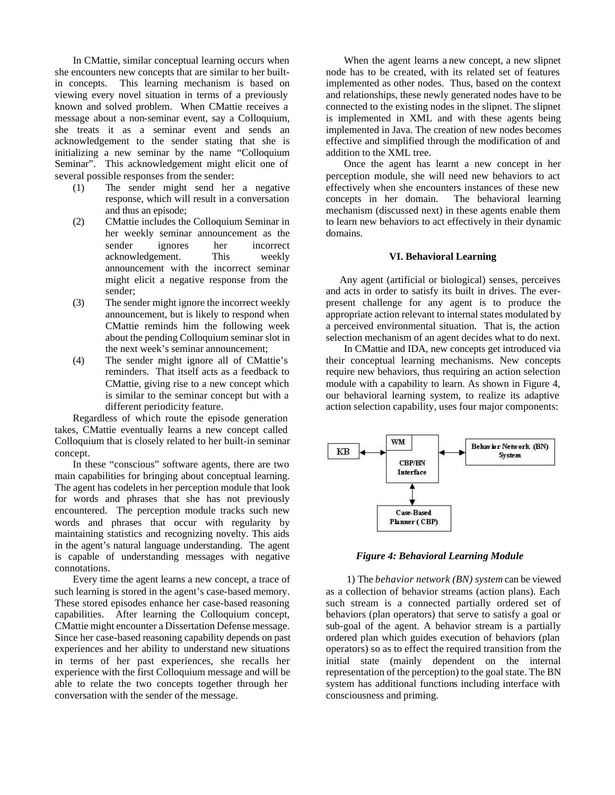In CMattie, similar conceptual learning occurs when she encounters new concepts that are similar to her builtin concepts. This learning mechanism is based on viewing every novel situation in terms of a previously known and solved problem. When CMattie receives a message about a non-seminar event, say a Colloquium, she treats it as a seminar event and sends an acknowledgement to the sender stating that she is initializing a new seminar by the name "Colloquium Seminar". This acknowledgement might elicit one of several possible responses from the sender:

- (1) The sender might send her a negative response, which will result in a conversation and thus an episode;
- (2) CMattie includes the Colloquium Seminar in her weekly seminar announcement as the sender ignores her incorrect acknowledgement. This weekly announcement with the incorrect seminar might elicit a negative response from the sender;
- (3) The sender might ignore the incorrect weekly announcement, but is likely to respond when CMattie reminds him the following week about the pending Colloquium seminar slot in the next week's seminar announcement;
- (4) The sender might ignore all of CMattie's reminders. That itself acts as a feedback to CMattie, giving rise to a new concept which is similar to the seminar concept but with a different periodicity feature.

Regardless of which route the episode generation takes, CMattie eventually learns a new concept called Colloquium that is closely related to her built-in seminar concept.

In these "conscious" software agents, there are two main capabilities for bringing about conceptual learning. The agent has codelets in her perception module that look for words and phrases that she has not previously encountered. The perception module tracks such new words and phrases that occur with regularity by maintaining statistics and recognizing novelty. This aids in the agent's natural language understanding. The agent is capable of understanding messages with negative connotations.

Every time the agent learns a new concept, a trace of such learning is stored in the agent's case-based memory. These stored episodes enhance her case-based reasoning capabilities. After learning the Colloquium concept, CMattie might encounter a Dissertation Defense message. Since her case-based reasoning capability depends on past experiences and her ability to understand new situations in terms of her past experiences, she recalls her experience with the first Colloquium message and will be able to relate the two concepts together through her conversation with the sender of the message.

When the agent learns a new concept, a new slipnet node has to be created, with its related set of features implemented as other nodes. Thus, based on the context and relationships, these newly generated nodes have to be connected to the existing nodes in the slipnet. The slipnet is implemented in XML and with these agents being implemented in Java. The creation of new nodes becomes effective and simplified through the modification of and addition to the XML tree.

Once the agent has learnt a new concept in her perception module, she will need new behaviors to act effectively when she encounters instances of these new concepts in her domain. The behavioral learning mechanism (discussed next) in these agents enable them to learn new behaviors to act effectively in their dynamic domains.

#### **VI. Behavioral Learning**

Any agent (artificial or biological) senses, perceives and acts in order to satisfy its built in drives. The everpresent challenge for any agent is to produce the appropriate action relevant to internal states modulated by a perceived environmental situation. That is, the action selection mechanism of an agent decides what to do next.

In CMattie and IDA, new concepts get introduced via their conceptual learning mechanisms. New concepts require new behaviors, thus requiring an action selection module with a capability to learn. As shown in Figure 4, our behavioral learning system, to realize its adaptive action selection capability, uses four major components:



 *Figure 4: Behavioral Learning Module*

 1) The *behavior network (BN) system* can be viewed as a collection of behavior streams (action plans). Each such stream is a connected partially ordered set of behaviors (plan operators) that serve to satisfy a goal or sub-goal of the agent. A behavior stream is a partially ordered plan which guides execution of behaviors (plan operators) so as to effect the required transition from the initial state (mainly dependent on the internal representation of the perception) to the goal state. The BN system has additional functions including interface with consciousness and priming.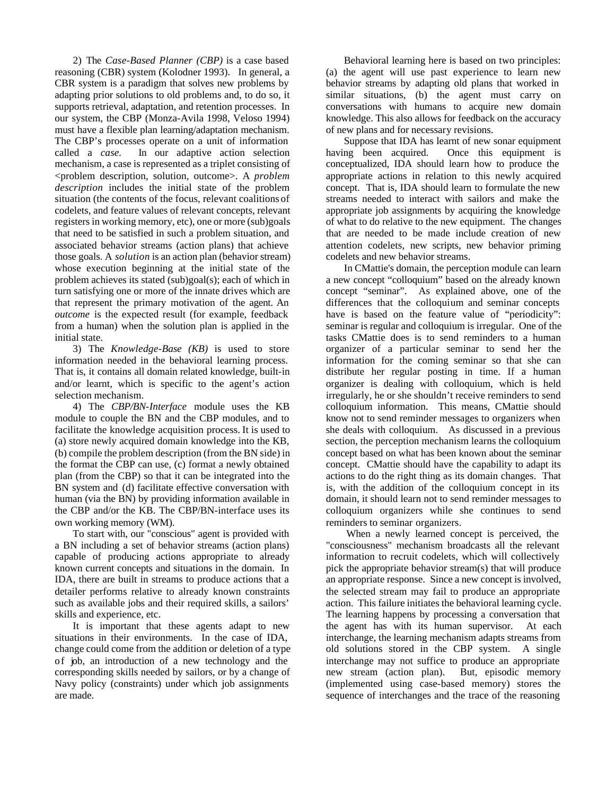2) The *Case-Based Planner (CBP)* is a case based reasoning (CBR) system (Kolodner 1993). In general, a CBR system is a paradigm that solves new problems by adapting prior solutions to old problems and, to do so, it supports retrieval, adaptation, and retention processes. In our system, the CBP (Monza-Avila 1998, Veloso 1994) must have a flexible plan learning/adaptation mechanism. The CBP's processes operate on a unit of information called a *case.* In our adaptive action selection mechanism, a case is represented as a triplet consisting of <problem description, solution, outcome>. A *problem description* includes the initial state of the problem situation (the contents of the focus, relevant coalitions of codelets, and feature values of relevant concepts, relevant registers in working memory, etc), one or more (sub)goals that need to be satisfied in such a problem situation, and associated behavior streams (action plans) that achieve those goals. A *solution* is an action plan (behavior stream) whose execution beginning at the initial state of the problem achieves its stated (sub)goal(s); each of which in turn satisfying one or more of the innate drives which are that represent the primary motivation of the agent. An *outcome* is the expected result (for example, feedback from a human) when the solution plan is applied in the initial state.

3) The *Knowledge-Base (KB)* is used to store information needed in the behavioral learning process. That is, it contains all domain related knowledge, built-in and/or learnt, which is specific to the agent's action selection mechanism.

4) The *CBP/BN-Interface* module uses the KB module to couple the BN and the CBP modules, and to facilitate the knowledge acquisition process. It is used to (a) store newly acquired domain knowledge into the KB, (b) compile the problem description (from the BN side) in the format the CBP can use, (c) format a newly obtained plan (from the CBP) so that it can be integrated into the BN system and (d) facilitate effective conversation with human (via the BN) by providing information available in the CBP and/or the KB. The CBP/BN-interface uses its own working memory (WM).

To start with, our "conscious" agent is provided with a BN including a set of behavior streams (action plans) capable of producing actions appropriate to already known current concepts and situations in the domain. In IDA, there are built in streams to produce actions that a detailer performs relative to already known constraints such as available jobs and their required skills, a sailors' skills and experience, etc.

It is important that these agents adapt to new situations in their environments. In the case of IDA, change could come from the addition or deletion of a type of job, an introduction of a new technology and the corresponding skills needed by sailors, or by a change of Navy policy (constraints) under which job assignments are made.

Behavioral learning here is based on two principles: (a) the agent will use past experience to learn new behavior streams by adapting old plans that worked in similar situations, (b) the agent must carry on conversations with humans to acquire new domain knowledge. This also allows for feedback on the accuracy of new plans and for necessary revisions.

Suppose that IDA has learnt of new sonar equipment having been acquired. Once this equipment is conceptualized, IDA should learn how to produce the appropriate actions in relation to this newly acquired concept. That is, IDA should learn to formulate the new streams needed to interact with sailors and make the appropriate job assignments by acquiring the knowledge of what to do relative to the new equipment. The changes that are needed to be made include creation of new attention codelets, new scripts, new behavior priming codelets and new behavior streams.

In CMattie's domain, the perception module can learn a new concept "colloquium" based on the already known concept "seminar". As explained above, one of the differences that the colloquium and seminar concepts have is based on the feature value of "periodicity": seminar is regular and colloquium is irregular. One of the tasks CMattie does is to send reminders to a human organizer of a particular seminar to send her the information for the coming seminar so that she can distribute her regular posting in time. If a human organizer is dealing with colloquium, which is held irregularly, he or she shouldn't receive reminders to send colloquium information. This means, CMattie should know not to send reminder messages to organizers when she deals with colloquium. As discussed in a previous section, the perception mechanism learns the colloquium concept based on what has been known about the seminar concept. CMattie should have the capability to adapt its actions to do the right thing as its domain changes. That is, with the addition of the colloquium concept in its domain, it should learn not to send reminder messages to colloquium organizers while she continues to send reminders to seminar organizers.

 When a newly learned concept is perceived, the "consciousness" mechanism broadcasts all the relevant information to recruit codelets, which will collectively pick the appropriate behavior stream(s) that will produce an appropriate response. Since a new concept is involved, the selected stream may fail to produce an appropriate action. This failure initiates the behavioral learning cycle. The learning happens by processing a conversation that the agent has with its human supervisor. At each interchange, the learning mechanism adapts streams from old solutions stored in the CBP system. A single interchange may not suffice to produce an appropriate new stream (action plan). But, episodic memory (implemented using case-based memory) stores the sequence of interchanges and the trace of the reasoning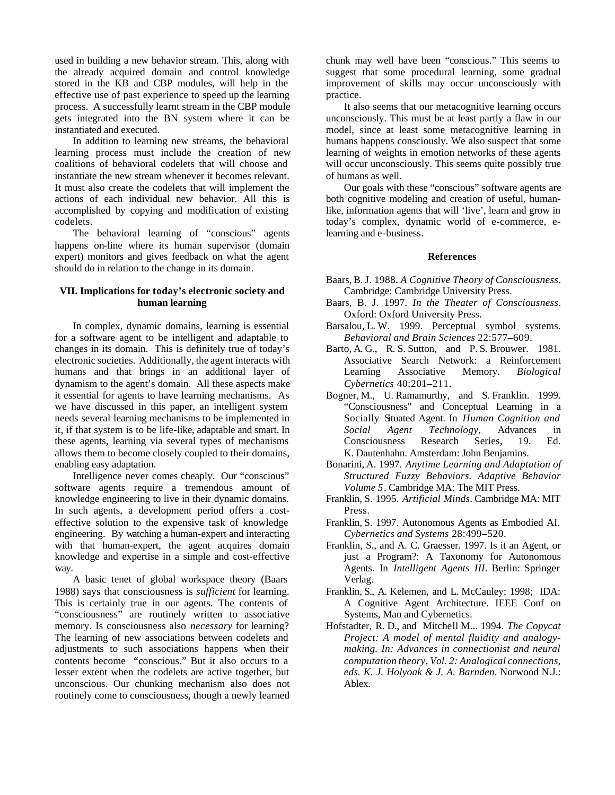used in building a new behavior stream. This, along with the already acquired domain and control knowledge stored in the KB and CBP modules, will help in the effective use of past experience to speed up the learning process. A successfully learnt stream in the CBP module gets integrated into the BN system where it can be instantiated and executed.

In addition to learning new streams, the behavioral learning process must include the creation of new coalitions of behavioral codelets that will choose and instantiate the new stream whenever it becomes relevant. It must also create the codelets that will implement the actions of each individual new behavior. All this is accomplished by copying and modification of existing codelets.

The behavioral learning of "conscious" agents happens on-line where its human supervisor (domain expert) monitors and gives feedback on what the agent should do in relation to the change in its domain.

### **VII. Implications for today's electronic society and human learning**

In complex, dynamic domains, learning is essential for a software agent to be intelligent and adaptable to changes in its domain. This is definitely true of today's electronic societies. Additionally, the agent interacts with humans and that brings in an additional layer of dynamism to the agent's domain. All these aspects make it essential for agents to have learning mechanisms. As we have discussed in this paper, an intelligent system needs several learning mechanisms to be implemented in it, if that system is to be life-like, adaptable and smart. In these agents, learning via several types of mechanisms allows them to become closely coupled to their domains, enabling easy adaptation.

Intelligence never comes cheaply. Our "conscious" software agents require a tremendous amount of knowledge engineering to live in their dynamic domains. In such agents, a development period offers a costeffective solution to the expensive task of knowledge engineering. By watching a human-expert and interacting with that human-expert, the agent acquires domain knowledge and expertise in a simple and cost-effective way.

A basic tenet of global workspace theory (Baars 1988) says that consciousness is *sufficient* for learning. This is certainly true in our agents. The contents of "consciousness" are routinely written to associative memory. Is consciousness also *necessary* for learning? The learning of new associations between codelets and adjustments to such associations happens when their contents become "conscious." But it also occurs to a lesser extent when the codelets are active together, but unconscious. Our chunking mechanism also does not routinely come to consciousness, though a newly learned chunk may well have been "conscious." This seems to suggest that some procedural learning, some gradual improvement of skills may occur unconsciously with practice.

It also seems that our metacognitive learning occurs unconsciously. This must be at least partly a flaw in our model, since at least some metacognitive learning in humans happens consciously. We also suspect that some learning of weights in emotion networks of these agents will occur unconsciously. This seems quite possibly true of humans as well.

Our goals with these "conscious" software agents are both cognitive modeling and creation of useful, humanlike, information agents that will 'live', learn and grow in today's complex, dynamic world of e-commerce, elearning and e-business.

#### **References**

- Baars, B. J. 1988. *A Cognitive Theory of Consciousness*. Cambridge: Cambridge University Press.
- Baars, B. J. 1997. *In the Theater of Consciousness*. Oxford: Oxford University Press.
- Barsalou, L. W. 1999. Perceptual symbol systems. *Behavioral and Brain Sciences* 22:577–609.
- Barto, A. G., R. S. Sutton, and P. S. Brouwer. 1981. Associative Search Network: a Reinforcement Learning Associative Memory. *Biological Cybernetics* 40:201–211.
- Bogner, M., U. Ramamurthy, and S. Franklin. 1999. "Consciousness" and Conceptual Learning in a Socially Situated Agent. In *Human Cognition and Social Agent Technology*, Advances in Consciousness Research Series, 19. Ed. K. Dautenhahn. Amsterdam: John Benjamins.
- Bonarini, A. 1997. *Anytime Learning and Adaptation of Structured Fuzzy Behaviors. Adaptive Behavior Volume 5*. Cambridge MA: The MIT Press.
- Franklin, S. 1995. *Artificial Minds*. Cambridge MA: MIT Press.
- Franklin, S. 1997. Autonomous Agents as Embodied AI. *Cybernetics and Systems* 28:499–520.
- Franklin, S., and A. C. Graesser. 1997. Is it an Agent, or just a Program?: A Taxonomy for Autonomous Agents. In *Intelligent Agents III*. Berlin: Springer Verlag.
- Franklin, S., A. Kelemen, and L. McCauley; 1998; IDA: A Cognitive Agent Architecture. IEEE Conf on Systems, Man and Cybernetics.
- Hofstadter, R. D., and Mitchell M... 1994. *The Copycat Project: A model of mental fluidity and analogymaking. In: Advances in connectionist and neural computation theory, Vol. 2: Analogical connections, eds. K. J. Holyoak & J. A. Barnden*. Norwood N.J.: Ablex.